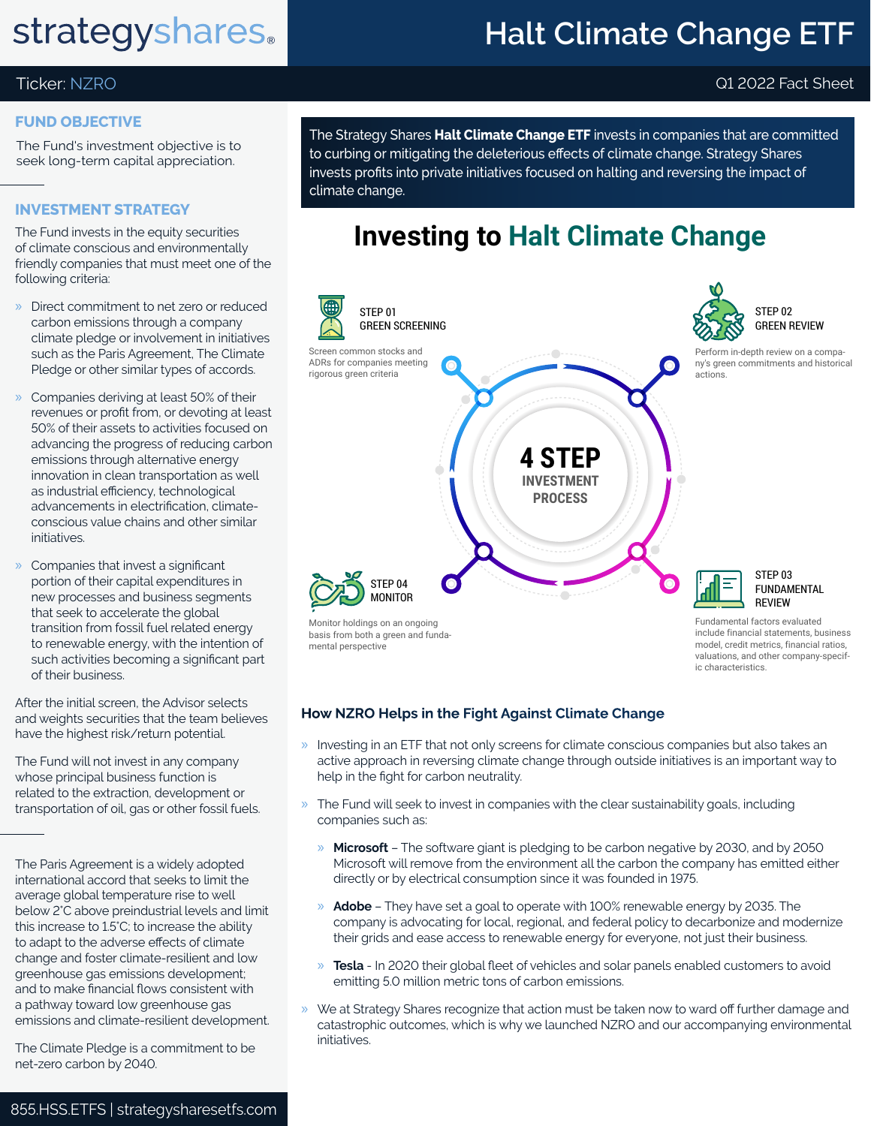## **strategyshares.**

## **Halt Climate Change ETF**

### Ticker: NZRO Q1 2022 Fact Sheet

### **FUND OBJECTIVE**

The Fund's investment objective is to seek long-term capital appreciation.

### **INVESTMENT STRATEGY**

The Fund invests in the equity securities of climate conscious and environmentally friendly companies that must meet one of the following criteria:

- » Direct commitment to net zero or reduced carbon emissions through a company climate pledge or involvement in initiatives such as the Paris Agreement, The Climate Pledge or other similar types of accords.
- » Companies deriving at least 50% of their revenues or profit from, or devoting at least 50% of their assets to activities focused on advancing the progress of reducing carbon emissions through alternative energy innovation in clean transportation as well as industrial efficiency, technological advancements in electrification, climateconscious value chains and other similar initiatives.
- » Companies that invest a significant portion of their capital expenditures in new processes and business segments that seek to accelerate the global transition from fossil fuel related energy to renewable energy, with the intention of such activities becoming a significant part of their business.

After the initial screen, the Advisor selects and weights securities that the team believes have the highest risk/return potential.

The Fund will not invest in any company whose principal business function is related to the extraction, development or transportation of oil, gas or other fossil fuels.

The Paris Agreement is a widely adopted international accord that seeks to limit the average global temperature rise to well below 2°C above preindustrial levels and limit this increase to 1.5°C; to increase the ability to adapt to the adverse effects of climate change and foster climate-resilient and low greenhouse gas emissions development; and to make financial flows consistent with a pathway toward low greenhouse gas emissions and climate-resilient development.

The Climate Pledge is a commitment to be net-zero carbon by 2040.

The Strategy Shares **Halt Climate Change ETF** invests in companies that are committed to curbing or mitigating the deleterious effects of climate change. Strategy Shares invests profits into private initiatives focused on halting and reversing the impact of climate change.

### **Investing to Halt Climate Change**



### **How NZRO Helps in the Fight Against Climate Change**

- » Investing in an ETF that not only screens for climate conscious companies but also takes an active approach in reversing climate change through outside initiatives is an important way to help in the fight for carbon neutrality.
- » The Fund will seek to invest in companies with the clear sustainability goals, including companies such as:
	- » **Microsoft** The software giant is pledging to be carbon negative by 2030, and by 2050 Microsoft will remove from the environment all the carbon the company has emitted either directly or by electrical consumption since it was founded in 1975.
	- » **Adobe** They have set a goal to operate with 100% renewable energy by 2035. The company is advocating for local, regional, and federal policy to decarbonize and modernize their grids and ease access to renewable energy for everyone, not just their business.
	- » **Tesla** In 2020 their global fleet of vehicles and solar panels enabled customers to avoid emitting 5.0 million metric tons of carbon emissions.
- » We at Strategy Shares recognize that action must be taken now to ward off further damage and catastrophic outcomes, which is why we launched NZRO and our accompanying environmental initiatives.